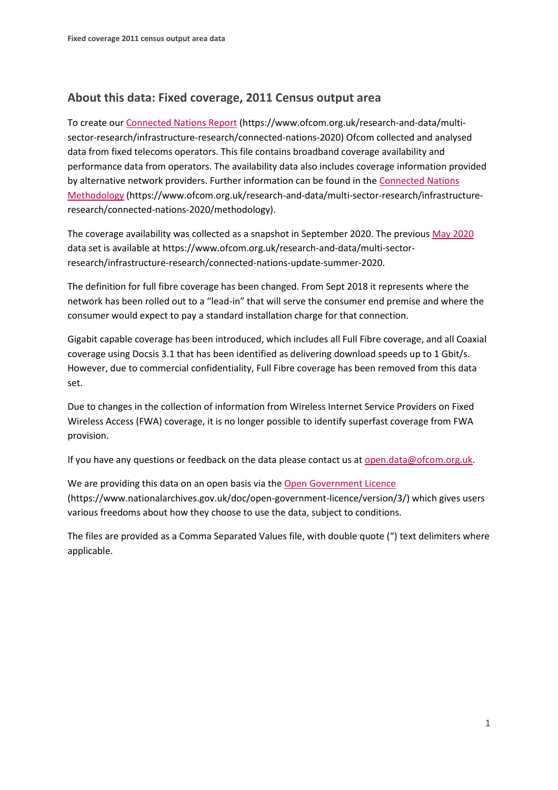## **About this data: Fixed coverage, 2011 Census output area**

To create ou[r Connected Nations Report](https://www.ofcom.org.uk/research-and-data/multi-sector-research/infrastructure-research/connected-nations-2019) (https://www.ofcom.org.uk/research-and-data/multisector-research/infrastructure-research/connected-nations-2020) Ofcom collected and analysed data from fixed telecoms operators. This file contains broadband coverage availability and performance data from operators. The availability data also includes coverage information provided by alternative network providers. Further information can be found in the [Connected Nations](https://www.ofcom.org.uk/research-and-data/multi-sector-research/infrastructure-research/connected-nations-2020/methodology)  [Methodology](https://www.ofcom.org.uk/research-and-data/multi-sector-research/infrastructure-research/connected-nations-2020/methodology) (https://www.ofcom.org.uk/research-and-data/multi-sector-research/infrastructureresearch/connected-nations-2020/methodology).

The coverage availability was collected as a snapshot in September 2020. The previous [May 2020](https://www.ofcom.org.uk/research-and-data/multi-sector-research/infrastructure-research/connected-nations-update-summer-2020) data set is available at https://www.ofcom.org.uk/research-and-data/multi-sectorresearch/infrastructure-research/connected-nations-update-summer-2020.

The definition for full fibre coverage has been changed. From Sept 2018 it represents where the network has been rolled out to a "lead-in" that will serve the consumer end premise and where the consumer would expect to pay a standard installation charge for that connection.

Gigabit capable coverage has been introduced, which includes all Full Fibre coverage, and all Coaxial coverage using Docsis 3.1 that has been identified as delivering download speeds up to 1 Gbit/s. However, due to commercial confidentiality, Full Fibre coverage has been removed from this data set.

Due to changes in the collection of information from Wireless Internet Service Providers on Fixed Wireless Access (FWA) coverage, it is no longer possible to identify superfast coverage from FWA provision.

If you have any questions or feedback on the data please contact us at [open.data@ofcom.org.uk.](mailto:open.data@ofcom.org.uk)

We are providing this data on an open basis via the [Open Government Licence](https://www.nationalarchives.gov.uk/doc/open-government-licence/version/3/) (https://www.nationalarchives.gov.uk/doc/open-government-licence/version/3/) which gives users various freedoms about how they choose to use the data, subject to conditions.

The files are provided as a Comma Separated Values file, with double quote (") text delimiters where applicable.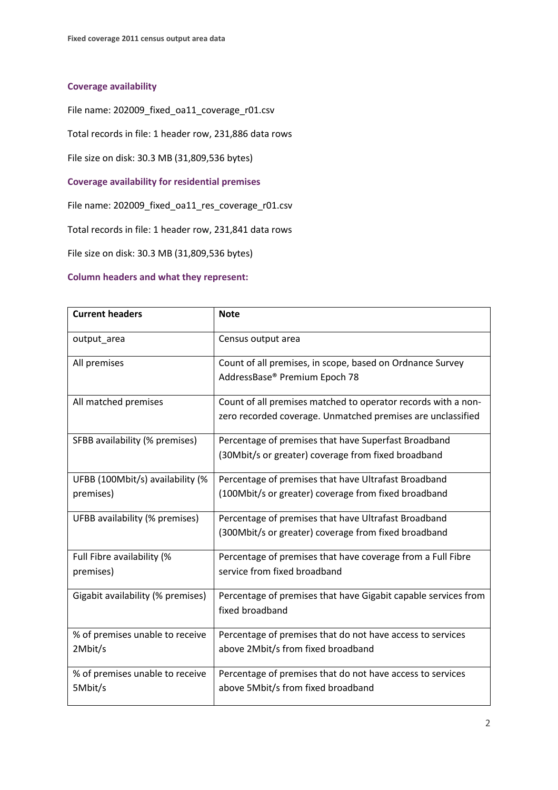## **Coverage availability**

File name: 202009\_fixed\_oa11\_coverage\_r01.csv

Total records in file: 1 header row, 231,886 data rows

File size on disk: 30.3 MB (31,809,536 bytes)

**Coverage availability for residential premises**

File name: 202009\_fixed\_oa11\_res\_coverage\_r01.csv

Total records in file: 1 header row, 231,841 data rows

File size on disk: 30.3 MB (31,809,536 bytes)

## **Column headers and what they represent:**

| <b>Current headers</b>                        | <b>Note</b>                                                                                                                  |
|-----------------------------------------------|------------------------------------------------------------------------------------------------------------------------------|
| output_area                                   | Census output area                                                                                                           |
| All premises                                  | Count of all premises, in scope, based on Ordnance Survey<br>AddressBase® Premium Epoch 78                                   |
| All matched premises                          | Count of all premises matched to operator records with a non-<br>zero recorded coverage. Unmatched premises are unclassified |
| SFBB availability (% premises)                | Percentage of premises that have Superfast Broadband<br>(30Mbit/s or greater) coverage from fixed broadband                  |
| UFBB (100Mbit/s) availability (%<br>premises) | Percentage of premises that have Ultrafast Broadband<br>(100Mbit/s or greater) coverage from fixed broadband                 |
| UFBB availability (% premises)                | Percentage of premises that have Ultrafast Broadband<br>(300Mbit/s or greater) coverage from fixed broadband                 |
| Full Fibre availability (%<br>premises)       | Percentage of premises that have coverage from a Full Fibre<br>service from fixed broadband                                  |
| Gigabit availability (% premises)             | Percentage of premises that have Gigabit capable services from<br>fixed broadband                                            |
| % of premises unable to receive<br>2Mbit/s    | Percentage of premises that do not have access to services<br>above 2Mbit/s from fixed broadband                             |
| % of premises unable to receive<br>5Mbit/s    | Percentage of premises that do not have access to services<br>above 5Mbit/s from fixed broadband                             |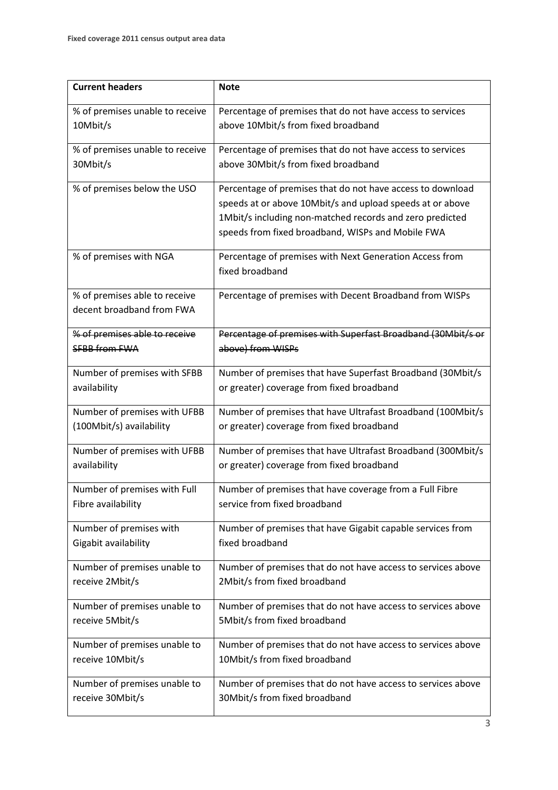| <b>Current headers</b>          | <b>Note</b>                                                  |
|---------------------------------|--------------------------------------------------------------|
| % of premises unable to receive | Percentage of premises that do not have access to services   |
| 10Mbit/s                        | above 10Mbit/s from fixed broadband                          |
| % of premises unable to receive | Percentage of premises that do not have access to services   |
| 30Mbit/s                        | above 30Mbit/s from fixed broadband                          |
| % of premises below the USO     | Percentage of premises that do not have access to download   |
|                                 | speeds at or above 10Mbit/s and upload speeds at or above    |
|                                 | 1Mbit/s including non-matched records and zero predicted     |
|                                 | speeds from fixed broadband, WISPs and Mobile FWA            |
| % of premises with NGA          | Percentage of premises with Next Generation Access from      |
|                                 | fixed broadband                                              |
| % of premises able to receive   | Percentage of premises with Decent Broadband from WISPs      |
| decent broadband from FWA       |                                                              |
| % of premises able to receive   | Percentage of premises with Superfast Broadband (30Mbit/s or |
| <b>SFBB from FWA</b>            | above) from WISPs                                            |
| Number of premises with SFBB    | Number of premises that have Superfast Broadband (30Mbit/s   |
| availability                    | or greater) coverage from fixed broadband                    |
| Number of premises with UFBB    | Number of premises that have Ultrafast Broadband (100Mbit/s  |
| (100Mbit/s) availability        | or greater) coverage from fixed broadband                    |
| Number of premises with UFBB    | Number of premises that have Ultrafast Broadband (300Mbit/s  |
| availability                    | or greater) coverage from fixed broadband                    |
| Number of premises with Full    | Number of premises that have coverage from a Full Fibre      |
| Fibre availability              | service from fixed broadband                                 |
| Number of premises with         | Number of premises that have Gigabit capable services from   |
| Gigabit availability            | fixed broadband                                              |
| Number of premises unable to    | Number of premises that do not have access to services above |
| receive 2Mbit/s                 | 2Mbit/s from fixed broadband                                 |
| Number of premises unable to    | Number of premises that do not have access to services above |
| receive 5Mbit/s                 | 5Mbit/s from fixed broadband                                 |
| Number of premises unable to    | Number of premises that do not have access to services above |
| receive 10Mbit/s                | 10Mbit/s from fixed broadband                                |
| Number of premises unable to    | Number of premises that do not have access to services above |
| receive 30Mbit/s                | 30Mbit/s from fixed broadband                                |
|                                 |                                                              |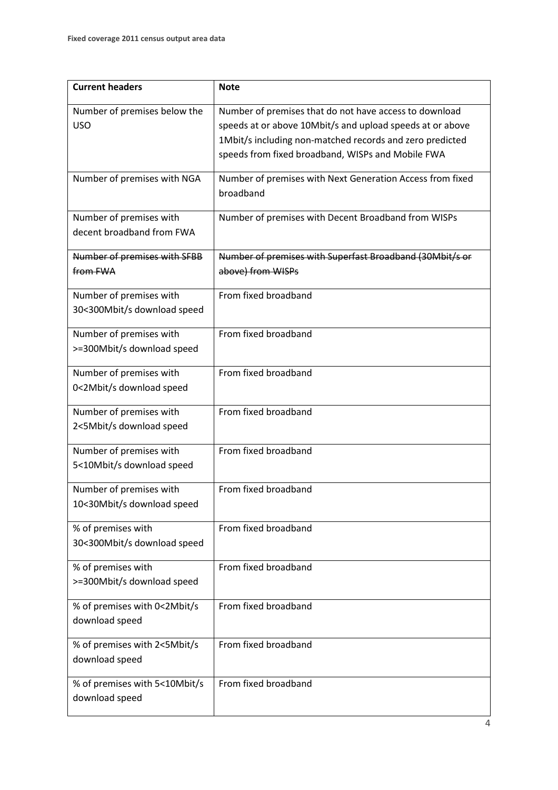| <b>Current headers</b>                                 | <b>Note</b>                                                                                                                                                                                                                          |
|--------------------------------------------------------|--------------------------------------------------------------------------------------------------------------------------------------------------------------------------------------------------------------------------------------|
| Number of premises below the<br><b>USO</b>             | Number of premises that do not have access to download<br>speeds at or above 10Mbit/s and upload speeds at or above<br>1Mbit/s including non-matched records and zero predicted<br>speeds from fixed broadband, WISPs and Mobile FWA |
| Number of premises with NGA                            | Number of premises with Next Generation Access from fixed<br>broadband                                                                                                                                                               |
| Number of premises with<br>decent broadband from FWA   | Number of premises with Decent Broadband from WISPs                                                                                                                                                                                  |
| Number of premises with SFBB<br>from FWA               | Number of premises with Superfast Broadband (30Mbit/s or<br>above) from WISPs                                                                                                                                                        |
| Number of premises with<br>30<300Mbit/s download speed | From fixed broadband                                                                                                                                                                                                                 |
| Number of premises with<br>>=300Mbit/s download speed  | From fixed broadband                                                                                                                                                                                                                 |
| Number of premises with<br>0<2Mbit/s download speed    | From fixed broadband                                                                                                                                                                                                                 |
| Number of premises with<br>2<5Mbit/s download speed    | From fixed broadband                                                                                                                                                                                                                 |
| Number of premises with<br>5<10Mbit/s download speed   | From fixed broadband                                                                                                                                                                                                                 |
| Number of premises with<br>10<30Mbit/s download speed  | From fixed broadband                                                                                                                                                                                                                 |
| % of premises with<br>30<300Mbit/s download speed      | From fixed broadband                                                                                                                                                                                                                 |
| % of premises with<br>>=300Mbit/s download speed       | From fixed broadband                                                                                                                                                                                                                 |
| % of premises with 0<2Mbit/s<br>download speed         | From fixed broadband                                                                                                                                                                                                                 |
| % of premises with 2<5Mbit/s<br>download speed         | From fixed broadband                                                                                                                                                                                                                 |
| % of premises with 5<10Mbit/s<br>download speed        | From fixed broadband                                                                                                                                                                                                                 |